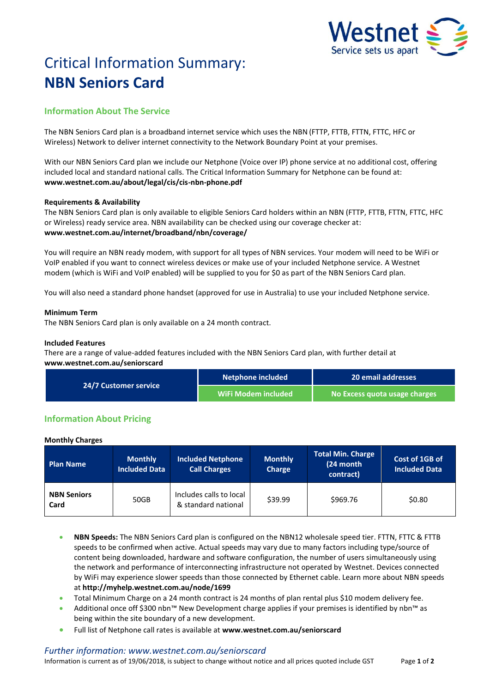

# Critical Information Summary: **NBN Seniors Card**

# **Information About The Service**

The NBN Seniors Card plan is a broadband internet service which uses the NBN (FTTP, FTTB, FTTN, FTTC, HFC or Wireless) Network to deliver internet connectivity to the Network Boundary Point at your premises.

With our NBN Seniors Card plan we include our Netphone (Voice over IP) phone service at no additional cost, offering included local and standard national calls. The Critical Information Summary for Netphone can be found at: **www.westnet.com.au/about/legal/cis/cis-nbn-phone.pdf**

#### **Requirements & Availability**

The NBN Seniors Card plan is only available to eligible Seniors Card holders within an NBN (FTTP, FTTB, FTTN, FTTC, HFC or Wireless) ready service area. NBN availability can be checked using our coverage checker at: **www.westnet.com.au/internet/broadband/nbn/coverage/**

You will require an NBN ready modem, with support for all types of NBN services. Your modem will need to be WiFi or VoIP enabled if you want to connect wireless devices or make use of your included Netphone service. A Westnet modem (which is WiFi and VoIP enabled) will be supplied to you for \$0 as part of the NBN Seniors Card plan.

You will also need a standard phone handset (approved for use in Australia) to use your included Netphone service.

#### **Minimum Term**

The NBN Seniors Card plan is only available on a 24 month contract.

#### **Included Features**

There are a range of value-added features included with the NBN Seniors Card plan, with further detail at **www.westnet.com.au/seniorscard**

| <b>24/7 Customer service</b> | Netphone included   | 20 email addresses            |  |
|------------------------------|---------------------|-------------------------------|--|
|                              | WiFi Modem included | No Excess quota usage charges |  |

# **Information About Pricing**

#### **Monthly Charges**

| <b>Plan Name</b>           | <b>Monthly</b><br><b>Included Data</b> | <b>Included Netphone</b><br><b>Call Charges</b> | <b>Monthly</b><br><b>Charge</b> | <b>Total Min. Charge</b><br>(24 month<br>contract) | Cost of 1GB of<br><b>Included Data</b> |
|----------------------------|----------------------------------------|-------------------------------------------------|---------------------------------|----------------------------------------------------|----------------------------------------|
| <b>NBN Seniors</b><br>Card | 50GB                                   | Includes calls to local<br>& standard national  | \$39.99                         | \$969.76                                           | \$0.80                                 |

- **NBN Speeds:** The NBN Seniors Card plan is configured on the NBN12 wholesale speed tier. FTTN, FTTC & FTTB speeds to be confirmed when active. Actual speeds may vary due to many factors including type/source of content being downloaded, hardware and software configuration, the number of users simultaneously using the network and performance of interconnecting infrastructure not operated by Westnet. Devices connected by WiFi may experience slower speeds than those connected by Ethernet cable. Learn more about NBN speeds at **http://myhelp.westnet.com.au/node/1699**
- Total Minimum Charge on a 24 month contract is 24 months of plan rental plus \$10 modem delivery fee.
- Additional once off \$300 nbn™ New Development charge applies if your premises is identified by nbn™ as being within the site boundary of a new development.
- Full list of Netphone call rates is available at **www.westnet.com.au/seniorscard**

### *Further information: www.westnet.com.au/seniorscard*

Information is current as of 19/06/2018, is subject to change without notice and all prices quoted include GST Page **1** of **2**